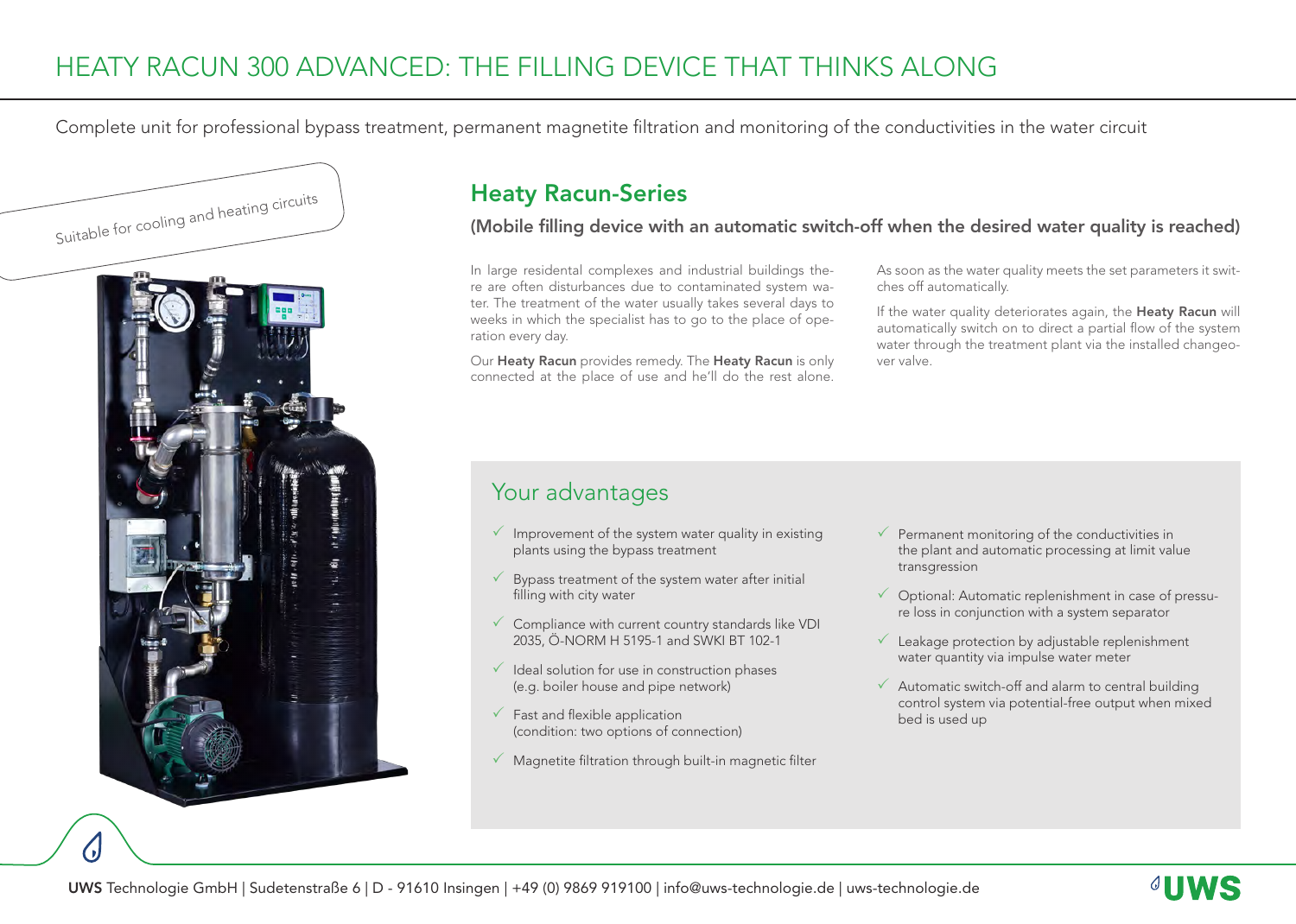# HEATY RACUN 300 ADVANCED: THE FILLING DEVICE THAT THINKS ALONG

Complete unit for professional bypass treatment, permanent magnetite filtration and monitoring of the conductivities in the water circuit



## Heaty Racun-Series

(Mobile filling device with an automatic switch-off when the desired water quality is reached)

In large residental complexes and industrial buildings there are often disturbances due to contaminated system water. The treatment of the water usually takes several days to weeks in which the specialist has to go to the place of operation every day.

Our Heaty Racun provides remedy. The Heaty Racun is only connected at the place of use and he'll do the rest alone.

As soon as the water quality meets the set parameters it switches off automatically.

If the water quality deteriorates again, the Heaty Racun will automatically switch on to direct a partial flow of the system water through the treatment plant via the installed changeover valve.

#### Your advantages

- $\sqrt{ }$  Improvement of the system water quality in existing plants using the bypass treatment
- $\checkmark$  Bypass treatment of the system water after initial filling with city water
- $\checkmark$  Compliance with current country standards like VDI 2035, Ö-NORM H 5195-1 and SWKI BT 102-1
- $\checkmark$  Ideal solution for use in construction phases (e.g. boiler house and pipe network)
- $\checkmark$  Fast and flexible application (condition: two options of connection)
- $\checkmark$  Magnetite filtration through built-in magnetic filter
- $\checkmark$  Permanent monitoring of the conductivities in the plant and automatic processing at limit value transgression
- $\checkmark$  Optional: Automatic replenishment in case of pressure loss in conjunction with a system separator
- $\checkmark$  Leakage protection by adjustable replenishment water quantity via impulse water meter
- $\checkmark$  Automatic switch-off and alarm to central building control system via potential-free output when mixed bed is used up